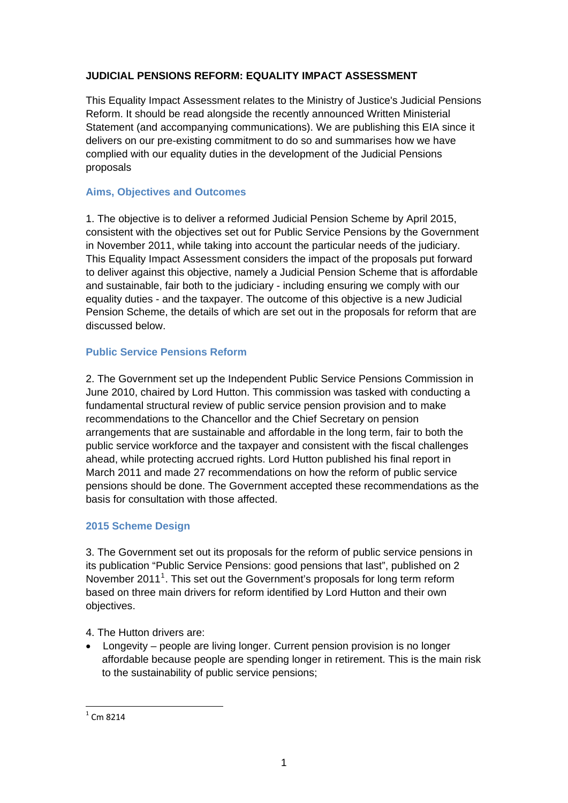# **JUDICIAL PENSIONS REFORM: EQUALITY IMPACT ASSESSMENT**

This Equality Impact Assessment relates to the Ministry of Justice's Judicial Pensions Reform. It should be read alongside the recently announced Written Ministerial Statement (and accompanying communications). We are publishing this EIA since it delivers on our pre-existing commitment to do so and summarises how we have complied with our equality duties in the development of the Judicial Pensions proposals

## **Aims, Objectives and Outcomes**

1. The objective is to deliver a reformed Judicial Pension Scheme by April 2015, consistent with the objectives set out for Public Service Pensions by the Government in November 2011, while taking into account the particular needs of the judiciary. This Equality Impact Assessment considers the impact of the proposals put forward to deliver against this objective, namely a Judicial Pension Scheme that is affordable and sustainable, fair both to the judiciary - including ensuring we comply with our equality duties - and the taxpayer. The outcome of this objective is a new Judicial Pension Scheme, the details of which are set out in the proposals for reform that are discussed below.

## **Public Service Pensions Reform**

2. The Government set up the Independent Public Service Pensions Commission in June 2010, chaired by Lord Hutton. This commission was tasked with conducting a fundamental structural review of public service pension provision and to make recommendations to the Chancellor and the Chief Secretary on pension arrangements that are sustainable and affordable in the long term, fair to both the public service workforce and the taxpayer and consistent with the fiscal challenges ahead, while protecting accrued rights. Lord Hutton published his final report in March 2011 and made 27 recommendations on how the reform of public service pensions should be done. The Government accepted these recommendations as the basis for consultation with those affected.

## **2015 Scheme Design**

3. The Government set out its proposals for the reform of public service pensions in its publication "Public Service Pensions: good pensions that last", published on 2 November 20[1](#page-0-0)1<sup>1</sup>. This set out the Government's proposals for long term reform based on three main drivers for reform identified by Lord Hutton and their own objectives.

4. The Hutton drivers are:

 Longevity – people are living longer. Current pension provision is no longer affordable because people are spending longer in retirement. This is the main risk to the sustainability of public service pensions;

1

<span id="page-0-0"></span> $1 \text{ cm } 8214$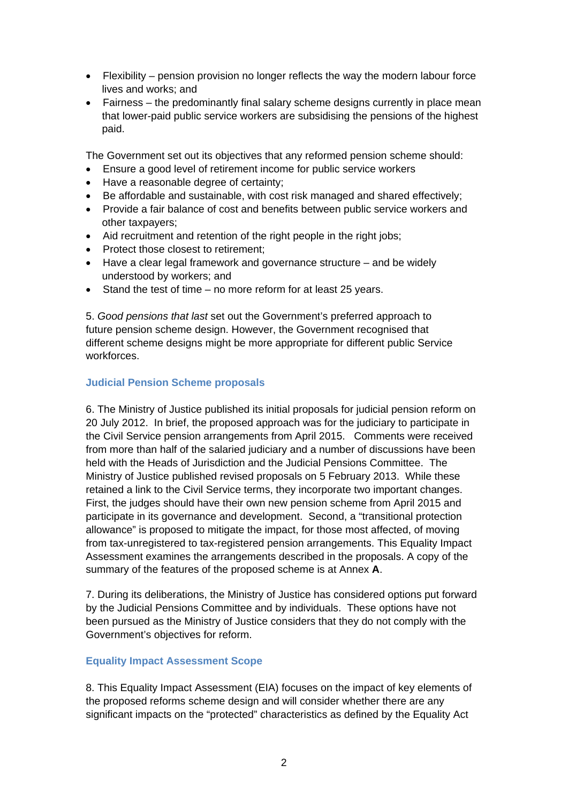- Flexibility pension provision no longer reflects the way the modern labour force lives and works; and
- Fairness the predominantly final salary scheme designs currently in place mean that lower-paid public service workers are subsidising the pensions of the highest paid.

The Government set out its objectives that any reformed pension scheme should:

- Ensure a good level of retirement income for public service workers
- Have a reasonable degree of certainty;
- Be affordable and sustainable, with cost risk managed and shared effectively;
- Provide a fair balance of cost and benefits between public service workers and other taxpayers;
- Aid recruitment and retention of the right people in the right jobs;
- Protect those closest to retirement:
- Have a clear legal framework and governance structure and be widely understood by workers; and
- Stand the test of time no more reform for at least 25 years.

5. *Good pensions that last* set out the Government's preferred approach to future pension scheme design. However, the Government recognised that different scheme designs might be more appropriate for different public Service workforces.

### **Judicial Pension Scheme proposals**

6. The Ministry of Justice published its initial proposals for judicial pension reform on 20 July 2012. In brief, the proposed approach was for the judiciary to participate in the Civil Service pension arrangements from April 2015. Comments were received from more than half of the salaried judiciary and a number of discussions have been held with the Heads of Jurisdiction and the Judicial Pensions Committee. The Ministry of Justice published revised proposals on 5 February 2013. While these retained a link to the Civil Service terms, they incorporate two important changes. First, the judges should have their own new pension scheme from April 2015 and participate in its governance and development. Second, a "transitional protection allowance" is proposed to mitigate the impact, for those most affected, of moving from tax-unregistered to tax-registered pension arrangements. This Equality Impact Assessment examines the arrangements described in the proposals. A copy of the summary of the features of the proposed scheme is at Annex **A**.

7. During its deliberations, the Ministry of Justice has considered options put forward by the Judicial Pensions Committee and by individuals. These options have not been pursued as the Ministry of Justice considers that they do not comply with the Government's objectives for reform.

#### **Equality Impact Assessment Scope**

8. This Equality Impact Assessment (EIA) focuses on the impact of key elements of the proposed reforms scheme design and will consider whether there are any significant impacts on the "protected" characteristics as defined by the Equality Act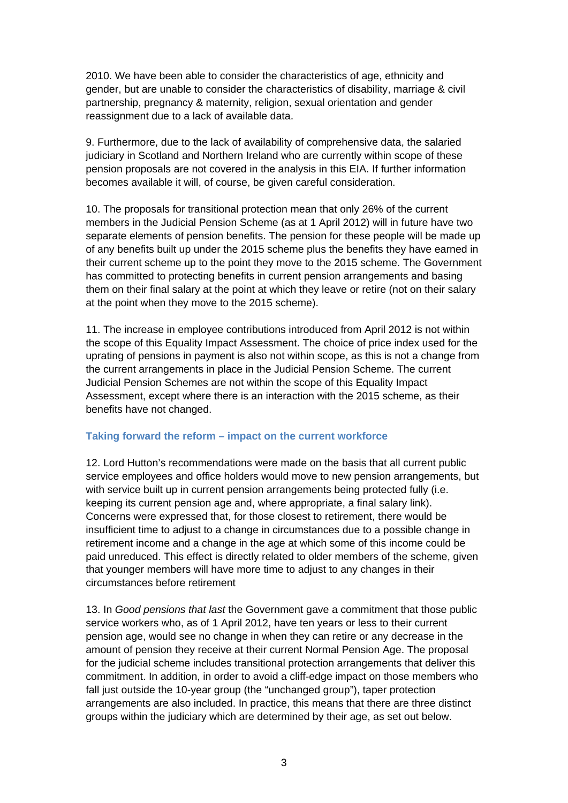2010. We have been able to consider the characteristics of age, ethnicity and gender, but are unable to consider the characteristics of disability, marriage & civil partnership, pregnancy & maternity, religion, sexual orientation and gender reassignment due to a lack of available data.

9. Furthermore, due to the lack of availability of comprehensive data, the salaried judiciary in Scotland and Northern Ireland who are currently within scope of these pension proposals are not covered in the analysis in this EIA. If further information becomes available it will, of course, be given careful consideration.

10. The proposals for transitional protection mean that only 26% of the current members in the Judicial Pension Scheme (as at 1 April 2012) will in future have two separate elements of pension benefits. The pension for these people will be made up of any benefits built up under the 2015 scheme plus the benefits they have earned in their current scheme up to the point they move to the 2015 scheme. The Government has committed to protecting benefits in current pension arrangements and basing them on their final salary at the point at which they leave or retire (not on their salary at the point when they move to the 2015 scheme).

11. The increase in employee contributions introduced from April 2012 is not within the scope of this Equality Impact Assessment. The choice of price index used for the uprating of pensions in payment is also not within scope, as this is not a change from the current arrangements in place in the Judicial Pension Scheme. The current Judicial Pension Schemes are not within the scope of this Equality Impact Assessment, except where there is an interaction with the 2015 scheme, as their benefits have not changed.

#### **Taking forward the reform – impact on the current workforce**

12. Lord Hutton's recommendations were made on the basis that all current public service employees and office holders would move to new pension arrangements, but with service built up in current pension arrangements being protected fully (i.e. keeping its current pension age and, where appropriate, a final salary link). Concerns were expressed that, for those closest to retirement, there would be insufficient time to adjust to a change in circumstances due to a possible change in retirement income and a change in the age at which some of this income could be paid unreduced. This effect is directly related to older members of the scheme, given that younger members will have more time to adjust to any changes in their circumstances before retirement

13. In *Good pensions that last* the Government gave a commitment that those public service workers who, as of 1 April 2012, have ten years or less to their current pension age, would see no change in when they can retire or any decrease in the amount of pension they receive at their current Normal Pension Age. The proposal for the judicial scheme includes transitional protection arrangements that deliver this commitment. In addition, in order to avoid a cliff-edge impact on those members who fall just outside the 10-year group (the "unchanged group"), taper protection arrangements are also included. In practice, this means that there are three distinct groups within the judiciary which are determined by their age, as set out below.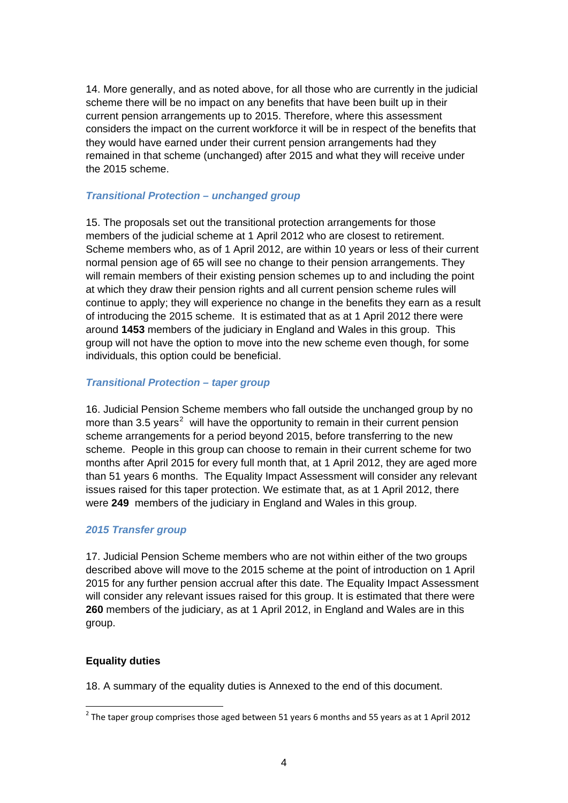14. More generally, and as noted above, for all those who are currently in the judicial scheme there will be no impact on any benefits that have been built up in their current pension arrangements up to 2015. Therefore, where this assessment considers the impact on the current workforce it will be in respect of the benefits that they would have earned under their current pension arrangements had they remained in that scheme (unchanged) after 2015 and what they will receive under the 2015 scheme.

### *Transitional Protection – unchanged group*

15. The proposals set out the transitional protection arrangements for those members of the judicial scheme at 1 April 2012 who are closest to retirement. Scheme members who, as of 1 April 2012, are within 10 years or less of their current normal pension age of 65 will see no change to their pension arrangements. They will remain members of their existing pension schemes up to and including the point at which they draw their pension rights and all current pension scheme rules will continue to apply; they will experience no change in the benefits they earn as a result of introducing the 2015 scheme. It is estimated that as at 1 April 2012 there were around **1453** members of the judiciary in England and Wales in this group. This group will not have the option to move into the new scheme even though, for some individuals, this option could be beneficial.

#### *Transitional Protection – taper group*

16. Judicial Pension Scheme members who fall outside the unchanged group by no more than 3.5 years<sup>[2](#page-3-0)</sup> will have the opportunity to remain in their current pension scheme arrangements for a period beyond 2015, before transferring to the new scheme. People in this group can choose to remain in their current scheme for two months after April 2015 for every full month that, at 1 April 2012, they are aged more than 51 years 6 months. The Equality Impact Assessment will consider any relevant issues raised for this taper protection. We estimate that, as at 1 April 2012, there were **249** members of the judiciary in England and Wales in this group.

## *2015 Transfer group*

17. Judicial Pension Scheme members who are not within either of the two groups described above will move to the 2015 scheme at the point of introduction on 1 April 2015 for any further pension accrual after this date. The Equality Impact Assessment will consider any relevant issues raised for this group. It is estimated that there were **260** members of the judiciary, as at 1 April 2012, in England and Wales are in this group.

#### **Equality duties**

1

18. A summary of the equality duties is Annexed to the end of this document.

<span id="page-3-0"></span> $2$  The taper group comprises those aged between 51 years 6 months and 55 years as at 1 April 2012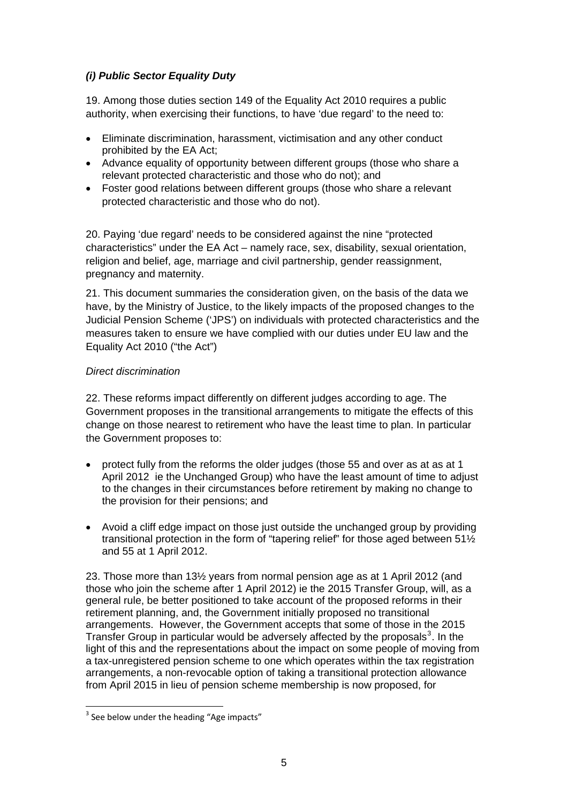# *(i) Public Sector Equality Duty*

19. Among those duties section 149 of the Equality Act 2010 requires a public authority, when exercising their functions, to have 'due regard' to the need to:

- Eliminate discrimination, harassment, victimisation and any other conduct prohibited by the EA Act;
- Advance equality of opportunity between different groups (those who share a relevant protected characteristic and those who do not); and
- Foster good relations between different groups (those who share a relevant protected characteristic and those who do not).

20. Paying 'due regard' needs to be considered against the nine "protected characteristics" under the EA Act – namely race, sex, disability, sexual orientation, religion and belief, age, marriage and civil partnership, gender reassignment, pregnancy and maternity.

21. This document summaries the consideration given, on the basis of the data we have, by the Ministry of Justice, to the likely impacts of the proposed changes to the Judicial Pension Scheme ('JPS') on individuals with protected characteristics and the measures taken to ensure we have complied with our duties under EU law and the Equality Act 2010 ("the Act")

### *Direct discrimination*

22. These reforms impact differently on different judges according to age. The Government proposes in the transitional arrangements to mitigate the effects of this change on those nearest to retirement who have the least time to plan. In particular the Government proposes to:

- protect fully from the reforms the older judges (those 55 and over as at as at 1 April 2012 ie the Unchanged Group) who have the least amount of time to adjust to the changes in their circumstances before retirement by making no change to the provision for their pensions; and
- Avoid a cliff edge impact on those just outside the unchanged group by providing transitional protection in the form of "tapering relief" for those aged between 51½ and 55 at 1 April 2012.

23. Those more than 13½ years from normal pension age as at 1 April 2012 (and those who join the scheme after 1 April 2012) ie the 2015 Transfer Group, will, as a general rule, be better positioned to take account of the proposed reforms in their retirement planning, and, the Government initially proposed no transitional arrangements. However, the Government accepts that some of those in the 2015 Transfer Group in particular would be adversely affected by the proposals $3$ . In the light of this and the representations about the impact on some people of moving from a tax-unregistered pension scheme to one which operates within the tax registration arrangements, a non-revocable option of taking a transitional protection allowance from April 2015 in lieu of pension scheme membership is now proposed, for

1

<span id="page-4-0"></span> $3$  See below under the heading "Age impacts"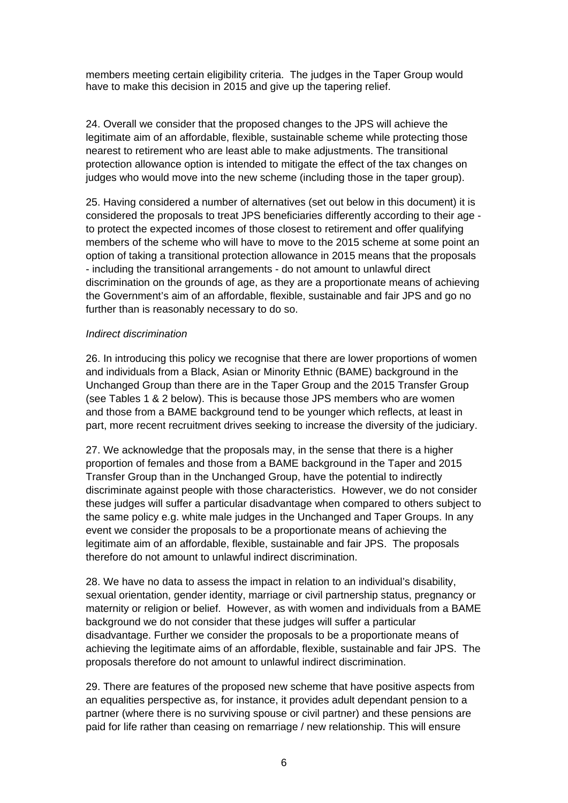members meeting certain eligibility criteria. The judges in the Taper Group would have to make this decision in 2015 and give up the tapering relief.

24. Overall we consider that the proposed changes to the JPS will achieve the legitimate aim of an affordable, flexible, sustainable scheme while protecting those nearest to retirement who are least able to make adjustments. The transitional protection allowance option is intended to mitigate the effect of the tax changes on judges who would move into the new scheme (including those in the taper group).

25. Having considered a number of alternatives (set out below in this document) it is considered the proposals to treat JPS beneficiaries differently according to their age to protect the expected incomes of those closest to retirement and offer qualifying members of the scheme who will have to move to the 2015 scheme at some point an option of taking a transitional protection allowance in 2015 means that the proposals - including the transitional arrangements - do not amount to unlawful direct discrimination on the grounds of age, as they are a proportionate means of achieving the Government's aim of an affordable, flexible, sustainable and fair JPS and go no further than is reasonably necessary to do so.

#### *Indirect discrimination*

26. In introducing this policy we recognise that there are lower proportions of women and individuals from a Black, Asian or Minority Ethnic (BAME) background in the Unchanged Group than there are in the Taper Group and the 2015 Transfer Group (see Tables 1 & 2 below). This is because those JPS members who are women and those from a BAME background tend to be younger which reflects, at least in part, more recent recruitment drives seeking to increase the diversity of the judiciary.

27. We acknowledge that the proposals may, in the sense that there is a higher proportion of females and those from a BAME background in the Taper and 2015 Transfer Group than in the Unchanged Group, have the potential to indirectly discriminate against people with those characteristics. However, we do not consider these judges will suffer a particular disadvantage when compared to others subject to the same policy e.g. white male judges in the Unchanged and Taper Groups. In any event we consider the proposals to be a proportionate means of achieving the legitimate aim of an affordable, flexible, sustainable and fair JPS. The proposals therefore do not amount to unlawful indirect discrimination.

28. We have no data to assess the impact in relation to an individual's disability, sexual orientation, gender identity, marriage or civil partnership status, pregnancy or maternity or religion or belief. However, as with women and individuals from a BAME background we do not consider that these judges will suffer a particular disadvantage. Further we consider the proposals to be a proportionate means of achieving the legitimate aims of an affordable, flexible, sustainable and fair JPS. The proposals therefore do not amount to unlawful indirect discrimination.

29. There are features of the proposed new scheme that have positive aspects from an equalities perspective as, for instance, it provides adult dependant pension to a partner (where there is no surviving spouse or civil partner) and these pensions are paid for life rather than ceasing on remarriage / new relationship. This will ensure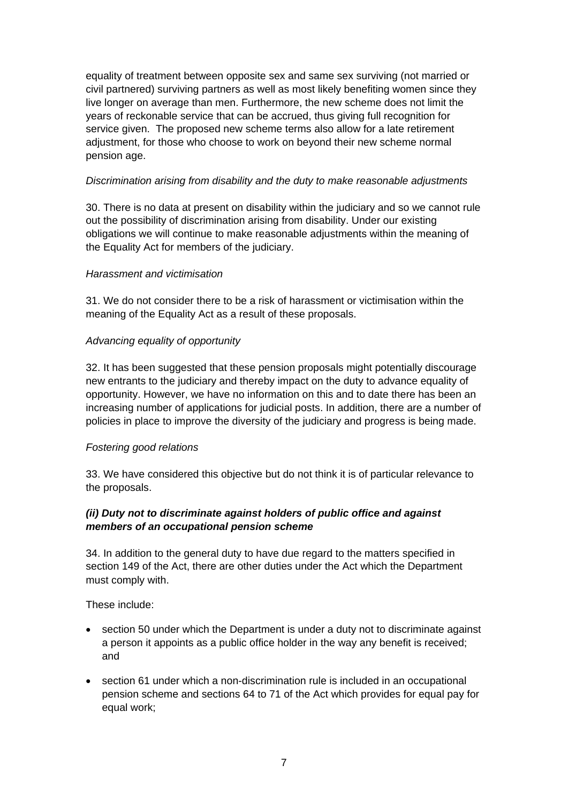equality of treatment between opposite sex and same sex surviving (not married or civil partnered) surviving partners as well as most likely benefiting women since they live longer on average than men. Furthermore, the new scheme does not limit the years of reckonable service that can be accrued, thus giving full recognition for service given. The proposed new scheme terms also allow for a late retirement adjustment, for those who choose to work on beyond their new scheme normal pension age.

### *Discrimination arising from disability and the duty to make reasonable adjustments*

30. There is no data at present on disability within the judiciary and so we cannot rule out the possibility of discrimination arising from disability. Under our existing obligations we will continue to make reasonable adjustments within the meaning of the Equality Act for members of the judiciary.

### *Harassment and victimisation*

31. We do not consider there to be a risk of harassment or victimisation within the meaning of the Equality Act as a result of these proposals.

## *Advancing equality of opportunity*

32. It has been suggested that these pension proposals might potentially discourage new entrants to the judiciary and thereby impact on the duty to advance equality of opportunity. However, we have no information on this and to date there has been an increasing number of applications for judicial posts. In addition, there are a number of policies in place to improve the diversity of the judiciary and progress is being made.

## *Fostering good relations*

33. We have considered this objective but do not think it is of particular relevance to the proposals.

## *(ii) Duty not to discriminate against holders of public office and against members of an occupational pension scheme*

34. In addition to the general duty to have due regard to the matters specified in section 149 of the Act, there are other duties under the Act which the Department must comply with.

These include:

- section 50 under which the Department is under a duty not to discriminate against a person it appoints as a public office holder in the way any benefit is received; and
- section 61 under which a non-discrimination rule is included in an occupational pension scheme and sections 64 to 71 of the Act which provides for equal pay for equal work;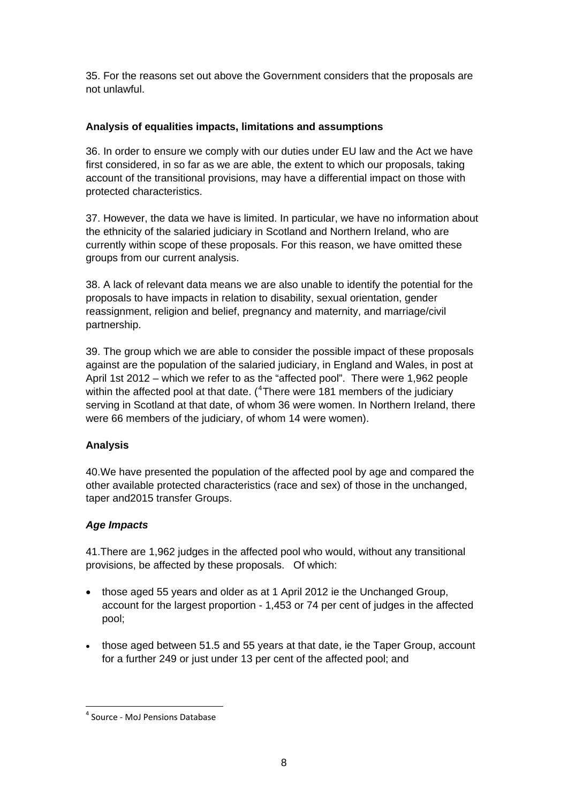35. For the reasons set out above the Government considers that the proposals are not unlawful.

### **Analysis of equalities impacts, limitations and assumptions**

36. In order to ensure we comply with our duties under EU law and the Act we have first considered, in so far as we are able, the extent to which our proposals, taking account of the transitional provisions, may have a differential impact on those with protected characteristics.

37. However, the data we have is limited. In particular, we have no information about the ethnicity of the salaried judiciary in Scotland and Northern Ireland, who are currently within scope of these proposals. For this reason, we have omitted these groups from our current analysis.

38. A lack of relevant data means we are also unable to identify the potential for the proposals to have impacts in relation to disability, sexual orientation, gender reassignment, religion and belief, pregnancy and maternity, and marriage/civil partnership.

39. The group which we are able to consider the possible impact of these proposals against are the population of the salaried judiciary, in England and Wales, in post at April 1st 2012 – which we refer to as the "affected pool". There were 1,962 people within the affected pool at that date.  $(^{4}$  $(^{4}$  $(^{4}$ There were 181 members of the judiciary serving in Scotland at that date, of whom 36 were women. In Northern Ireland, there were 66 members of the judiciary, of whom 14 were women).

## **Analysis**

40.We have presented the population of the affected pool by age and compared the other available protected characteristics (race and sex) of those in the unchanged, taper and2015 transfer Groups.

#### *Age Impacts*

1

41.There are 1,962 judges in the affected pool who would, without any transitional provisions, be affected by these proposals. Of which:

- those aged 55 years and older as at 1 April 2012 ie the Unchanged Group, account for the largest proportion - 1,453 or 74 per cent of judges in the affected pool;
- those aged between 51.5 and 55 years at that date, ie the Taper Group, account for a further 249 or just under 13 per cent of the affected pool; and

<span id="page-7-0"></span><sup>4</sup> Source ‐ MoJ Pensions Database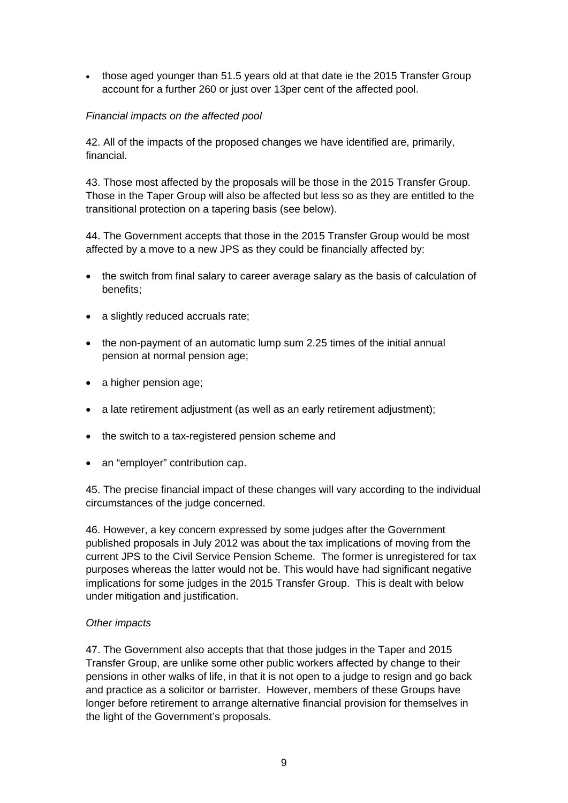• those aged younger than 51.5 years old at that date ie the 2015 Transfer Group account for a further 260 or just over 13per cent of the affected pool.

## *Financial impacts on the affected pool*

42. All of the impacts of the proposed changes we have identified are, primarily, financial.

43. Those most affected by the proposals will be those in the 2015 Transfer Group. Those in the Taper Group will also be affected but less so as they are entitled to the transitional protection on a tapering basis (see below).

44. The Government accepts that those in the 2015 Transfer Group would be most affected by a move to a new JPS as they could be financially affected by:

- the switch from final salary to career average salary as the basis of calculation of benefits;
- a slightly reduced accruals rate;
- the non-payment of an automatic lump sum 2.25 times of the initial annual pension at normal pension age;
- a higher pension age:
- a late retirement adjustment (as well as an early retirement adjustment);
- the switch to a tax-registered pension scheme and
- an "employer" contribution cap.

45. The precise financial impact of these changes will vary according to the individual circumstances of the judge concerned.

46. However, a key concern expressed by some judges after the Government published proposals in July 2012 was about the tax implications of moving from the current JPS to the Civil Service Pension Scheme. The former is unregistered for tax purposes whereas the latter would not be. This would have had significant negative implications for some judges in the 2015 Transfer Group. This is dealt with below under mitigation and justification.

#### *Other impacts*

47. The Government also accepts that that those judges in the Taper and 2015 Transfer Group, are unlike some other public workers affected by change to their pensions in other walks of life, in that it is not open to a judge to resign and go back and practice as a solicitor or barrister. However, members of these Groups have longer before retirement to arrange alternative financial provision for themselves in the light of the Government's proposals.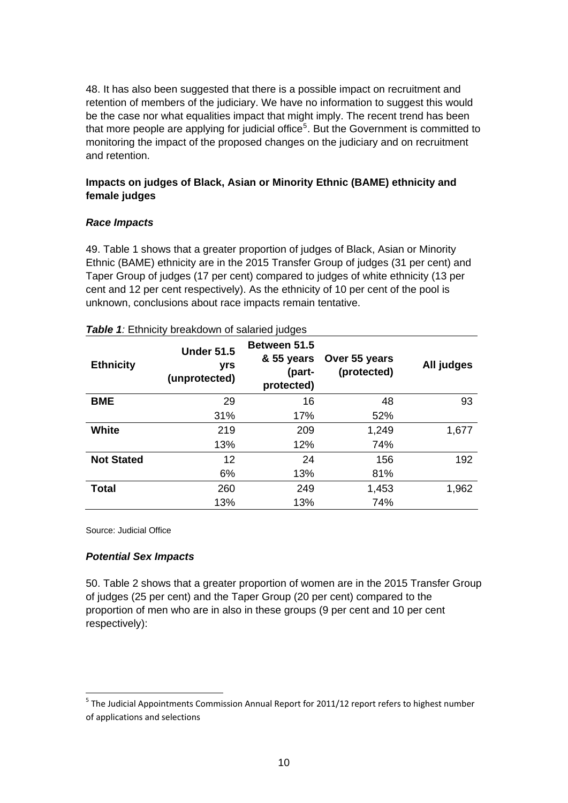48. It has also been suggested that there is a possible impact on recruitment and retention of members of the judiciary. We have no information to suggest this would be the case nor what equalities impact that might imply. The recent trend has been that more people are applying for judicial office<sup>[5](#page-9-0)</sup>. But the Government is committed to monitoring the impact of the proposed changes on the judiciary and on recruitment and retention.

## **Impacts on judges of Black, Asian or Minority Ethnic (BAME) ethnicity and female judges**

#### *Race Impacts*

49. Table 1 shows that a greater proportion of judges of Black, Asian or Minority Ethnic (BAME) ethnicity are in the 2015 Transfer Group of judges (31 per cent) and Taper Group of judges (17 per cent) compared to judges of white ethnicity (13 per cent and 12 per cent respectively). As the ethnicity of 10 per cent of the pool is unknown, conclusions about race impacts remain tentative.

| <b>Ethnicity</b>  | <b>Under 51.5</b><br>yrs<br>(unprotected) | Between 51.5<br>& 55 years<br>(part-<br>protected) | Over 55 years<br>(protected) | All judges |
|-------------------|-------------------------------------------|----------------------------------------------------|------------------------------|------------|
| <b>BME</b>        | 29                                        | 16                                                 | 48                           | 93         |
|                   | 31%                                       | 17%                                                | 52%                          |            |
| White             | 219                                       | 209                                                | 1,249                        | 1,677      |
|                   | 13%                                       | 12%                                                | 74%                          |            |
| <b>Not Stated</b> | 12                                        | 24                                                 | 156                          | 192        |
|                   | 6%                                        | 13%                                                | 81%                          |            |
| <b>Total</b>      | 260                                       | 249                                                | 1,453                        | 1,962      |
|                   | 13%                                       | 13%                                                | 74%                          |            |

#### **Table 1**: Ethnicity breakdown of salaried judges

Source: Judicial Office

-

#### *Potential Sex Impacts*

50. Table 2 shows that a greater proportion of women are in the 2015 Transfer Group of judges (25 per cent) and the Taper Group (20 per cent) compared to the proportion of men who are in also in these groups (9 per cent and 10 per cent respectively):

<span id="page-9-0"></span><sup>&</sup>lt;sup>5</sup> The Judicial Appointments Commission Annual Report for 2011/12 report refers to highest number of applications and selections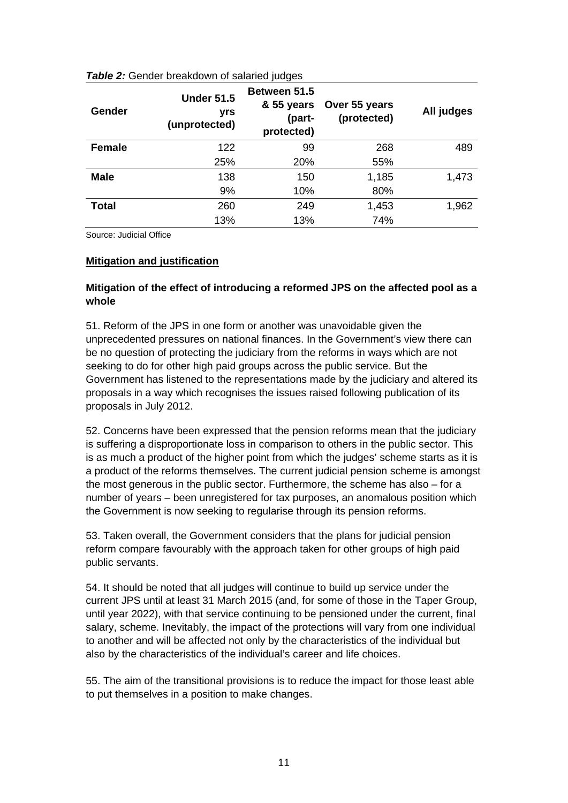| Gender        | <b>Under 51.5</b><br>yrs<br>(unprotected) | <b>Between 51.5</b><br>& 55 years<br>(part-<br>protected) | Over 55 years<br>(protected) | All judges |
|---------------|-------------------------------------------|-----------------------------------------------------------|------------------------------|------------|
| <b>Female</b> | 122                                       | 99                                                        | 268                          | 489        |
|               | 25%                                       | 20%                                                       | 55%                          |            |
| <b>Male</b>   | 138                                       | 150                                                       | 1,185                        | 1,473      |
|               | 9%                                        | 10%                                                       | 80%                          |            |
| <b>Total</b>  | 260                                       | 249                                                       | 1,453                        | 1,962      |
|               | 13%                                       | 13%                                                       | 74%                          |            |

#### **Table 2:** Gender breakdown of salaried judges

Source: Judicial Office

#### **Mitigation and justification**

### **Mitigation of the effect of introducing a reformed JPS on the affected pool as a whole**

51. Reform of the JPS in one form or another was unavoidable given the unprecedented pressures on national finances. In the Government's view there can be no question of protecting the judiciary from the reforms in ways which are not seeking to do for other high paid groups across the public service. But the Government has listened to the representations made by the judiciary and altered its proposals in a way which recognises the issues raised following publication of its proposals in July 2012.

52. Concerns have been expressed that the pension reforms mean that the judiciary is suffering a disproportionate loss in comparison to others in the public sector. This is as much a product of the higher point from which the judges' scheme starts as it is a product of the reforms themselves. The current judicial pension scheme is amongst the most generous in the public sector. Furthermore, the scheme has also – for a number of years – been unregistered for tax purposes, an anomalous position which the Government is now seeking to regularise through its pension reforms.

53. Taken overall, the Government considers that the plans for judicial pension reform compare favourably with the approach taken for other groups of high paid public servants.

54. It should be noted that all judges will continue to build up service under the current JPS until at least 31 March 2015 (and, for some of those in the Taper Group, until year 2022), with that service continuing to be pensioned under the current, final salary, scheme. Inevitably, the impact of the protections will vary from one individual to another and will be affected not only by the characteristics of the individual but also by the characteristics of the individual's career and life choices.

55. The aim of the transitional provisions is to reduce the impact for those least able to put themselves in a position to make changes.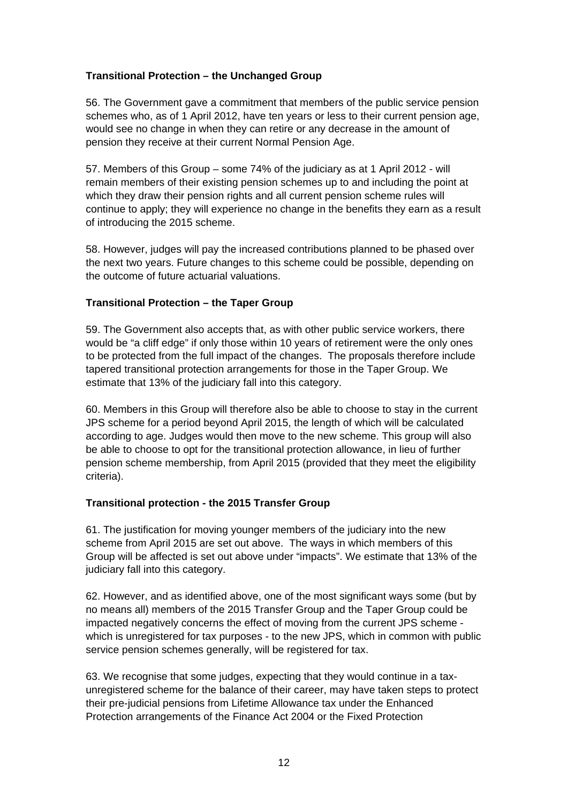## **Transitional Protection – the Unchanged Group**

56. The Government gave a commitment that members of the public service pension schemes who, as of 1 April 2012, have ten years or less to their current pension age, would see no change in when they can retire or any decrease in the amount of pension they receive at their current Normal Pension Age.

57. Members of this Group – some 74% of the judiciary as at 1 April 2012 - will remain members of their existing pension schemes up to and including the point at which they draw their pension rights and all current pension scheme rules will continue to apply; they will experience no change in the benefits they earn as a result of introducing the 2015 scheme.

58. However, judges will pay the increased contributions planned to be phased over the next two years. Future changes to this scheme could be possible, depending on the outcome of future actuarial valuations.

## **Transitional Protection – the Taper Group**

59. The Government also accepts that, as with other public service workers, there would be "a cliff edge" if only those within 10 years of retirement were the only ones to be protected from the full impact of the changes. The proposals therefore include tapered transitional protection arrangements for those in the Taper Group. We estimate that 13% of the judiciary fall into this category.

60. Members in this Group will therefore also be able to choose to stay in the current JPS scheme for a period beyond April 2015, the length of which will be calculated according to age. Judges would then move to the new scheme. This group will also be able to choose to opt for the transitional protection allowance, in lieu of further pension scheme membership, from April 2015 (provided that they meet the eligibility criteria).

## **Transitional protection - the 2015 Transfer Group**

61. The justification for moving younger members of the judiciary into the new scheme from April 2015 are set out above. The ways in which members of this Group will be affected is set out above under "impacts". We estimate that 13% of the judiciary fall into this category.

62. However, and as identified above, one of the most significant ways some (but by no means all) members of the 2015 Transfer Group and the Taper Group could be impacted negatively concerns the effect of moving from the current JPS scheme which is unregistered for tax purposes - to the new JPS, which in common with public service pension schemes generally, will be registered for tax.

63. We recognise that some judges, expecting that they would continue in a taxunregistered scheme for the balance of their career, may have taken steps to protect their pre-judicial pensions from Lifetime Allowance tax under the Enhanced Protection arrangements of the Finance Act 2004 or the Fixed Protection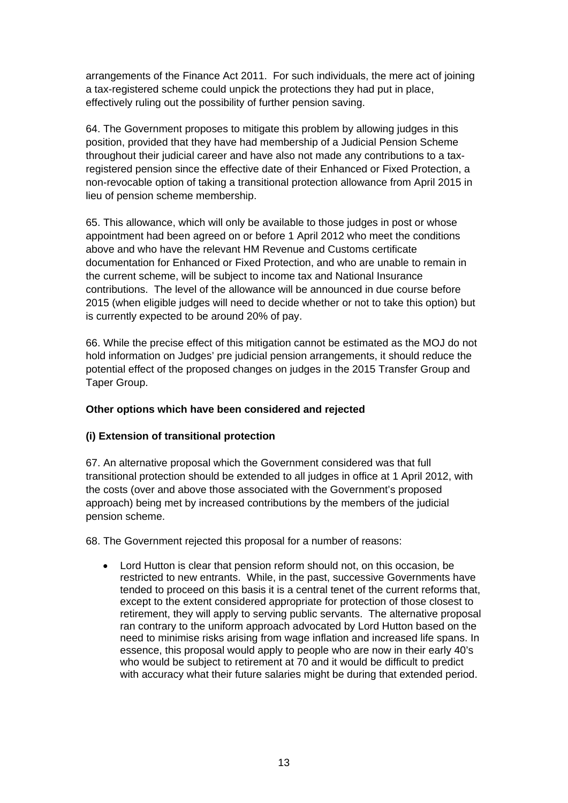arrangements of the Finance Act 2011. For such individuals, the mere act of joining a tax-registered scheme could unpick the protections they had put in place, effectively ruling out the possibility of further pension saving.

64. The Government proposes to mitigate this problem by allowing judges in this position, provided that they have had membership of a Judicial Pension Scheme throughout their judicial career and have also not made any contributions to a taxregistered pension since the effective date of their Enhanced or Fixed Protection, a non-revocable option of taking a transitional protection allowance from April 2015 in lieu of pension scheme membership.

65. This allowance, which will only be available to those judges in post or whose appointment had been agreed on or before 1 April 2012 who meet the conditions above and who have the relevant HM Revenue and Customs certificate documentation for Enhanced or Fixed Protection, and who are unable to remain in the current scheme, will be subject to income tax and National Insurance contributions. The level of the allowance will be announced in due course before 2015 (when eligible judges will need to decide whether or not to take this option) but is currently expected to be around 20% of pay.

66. While the precise effect of this mitigation cannot be estimated as the MOJ do not hold information on Judges' pre judicial pension arrangements, it should reduce the potential effect of the proposed changes on judges in the 2015 Transfer Group and Taper Group.

#### **Other options which have been considered and rejected**

## **(i) Extension of transitional protection**

67. An alternative proposal which the Government considered was that full transitional protection should be extended to all judges in office at 1 April 2012, with the costs (over and above those associated with the Government's proposed approach) being met by increased contributions by the members of the judicial pension scheme.

68. The Government rejected this proposal for a number of reasons:

 Lord Hutton is clear that pension reform should not, on this occasion, be restricted to new entrants. While, in the past, successive Governments have tended to proceed on this basis it is a central tenet of the current reforms that, except to the extent considered appropriate for protection of those closest to retirement, they will apply to serving public servants. The alternative proposal ran contrary to the uniform approach advocated by Lord Hutton based on the need to minimise risks arising from wage inflation and increased life spans. In essence, this proposal would apply to people who are now in their early 40's who would be subject to retirement at 70 and it would be difficult to predict with accuracy what their future salaries might be during that extended period.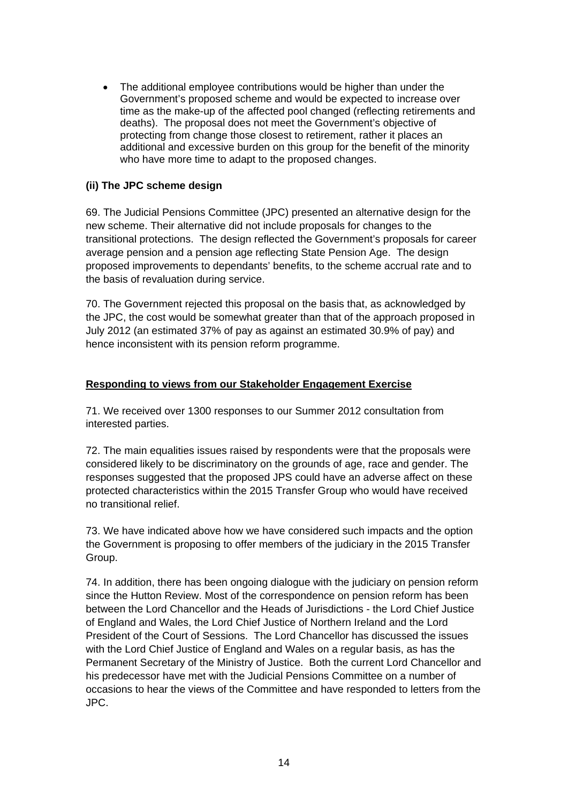The additional employee contributions would be higher than under the Government's proposed scheme and would be expected to increase over time as the make-up of the affected pool changed (reflecting retirements and deaths). The proposal does not meet the Government's objective of protecting from change those closest to retirement, rather it places an additional and excessive burden on this group for the benefit of the minority who have more time to adapt to the proposed changes.

### **(ii) The JPC scheme design**

69. The Judicial Pensions Committee (JPC) presented an alternative design for the new scheme. Their alternative did not include proposals for changes to the transitional protections. The design reflected the Government's proposals for career average pension and a pension age reflecting State Pension Age. The design proposed improvements to dependants' benefits, to the scheme accrual rate and to the basis of revaluation during service.

70. The Government rejected this proposal on the basis that, as acknowledged by the JPC, the cost would be somewhat greater than that of the approach proposed in July 2012 (an estimated 37% of pay as against an estimated 30.9% of pay) and hence inconsistent with its pension reform programme.

## **Responding to views from our Stakeholder Engagement Exercise**

71. We received over 1300 responses to our Summer 2012 consultation from interested parties.

 72. The main equalities issues raised by respondents were that the proposals were considered likely to be discriminatory on the grounds of age, race and gender. The responses suggested that the proposed JPS could have an adverse affect on these protected characteristics within the 2015 Transfer Group who would have received no transitional relief.

73. We have indicated above how we have considered such impacts and the option the Government is proposing to offer members of the judiciary in the 2015 Transfer Group.

74. In addition, there has been ongoing dialogue with the judiciary on pension reform since the Hutton Review. Most of the correspondence on pension reform has been between the Lord Chancellor and the Heads of Jurisdictions - the Lord Chief Justice of England and Wales, the Lord Chief Justice of Northern Ireland and the Lord President of the Court of Sessions. The Lord Chancellor has discussed the issues with the Lord Chief Justice of England and Wales on a regular basis, as has the Permanent Secretary of the Ministry of Justice. Both the current Lord Chancellor and his predecessor have met with the Judicial Pensions Committee on a number of occasions to hear the views of the Committee and have responded to letters from the JPC.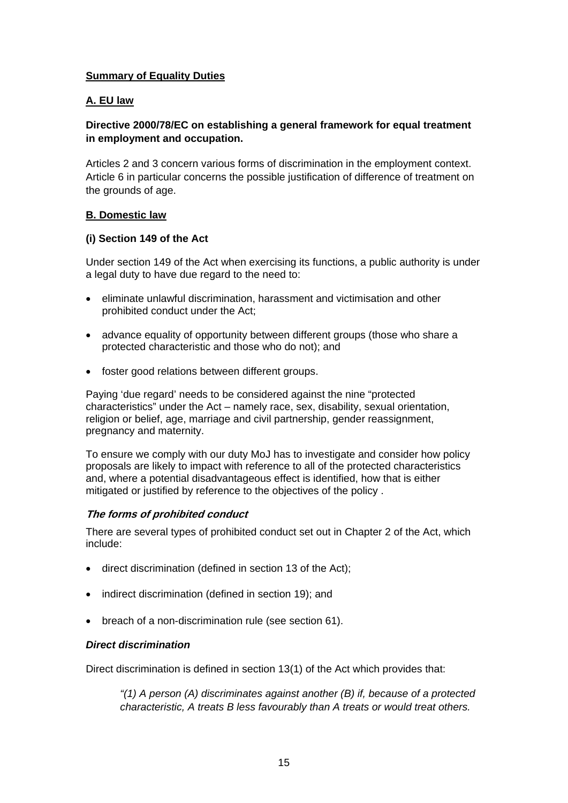### **Summary of Equality Duties**

### **A. EU law**

### **Directive 2000/78/EC on establishing a general framework for equal treatment in employment and occupation.**

Articles 2 and 3 concern various forms of discrimination in the employment context. Article 6 in particular concerns the possible justification of difference of treatment on the grounds of age.

#### **B. Domestic law**

#### **(i) Section 149 of the Act**

Under section 149 of the Act when exercising its functions, a public authority is under a legal duty to have due regard to the need to:

- eliminate unlawful discrimination, harassment and victimisation and other prohibited conduct under the Act;
- advance equality of opportunity between different groups (those who share a protected characteristic and those who do not); and
- foster good relations between different groups.

Paying 'due regard' needs to be considered against the nine "protected characteristics" under the Act – namely race, sex, disability, sexual orientation, religion or belief, age, marriage and civil partnership, gender reassignment, pregnancy and maternity.

To ensure we comply with our duty MoJ has to investigate and consider how policy proposals are likely to impact with reference to all of the protected characteristics and, where a potential disadvantageous effect is identified, how that is either mitigated or justified by reference to the objectives of the policy .

#### **The forms of prohibited conduct**

There are several types of prohibited conduct set out in Chapter 2 of the Act, which include:

- direct discrimination (defined in section 13 of the Act);
- indirect discrimination (defined in section 19); and
- breach of a non-discrimination rule (see section 61).

#### *Direct discrimination*

Direct discrimination is defined in section 13(1) of the Act which provides that:

*"(1) A person (A) discriminates against another (B) if, because of a protected characteristic, A treats B less favourably than A treats or would treat others.*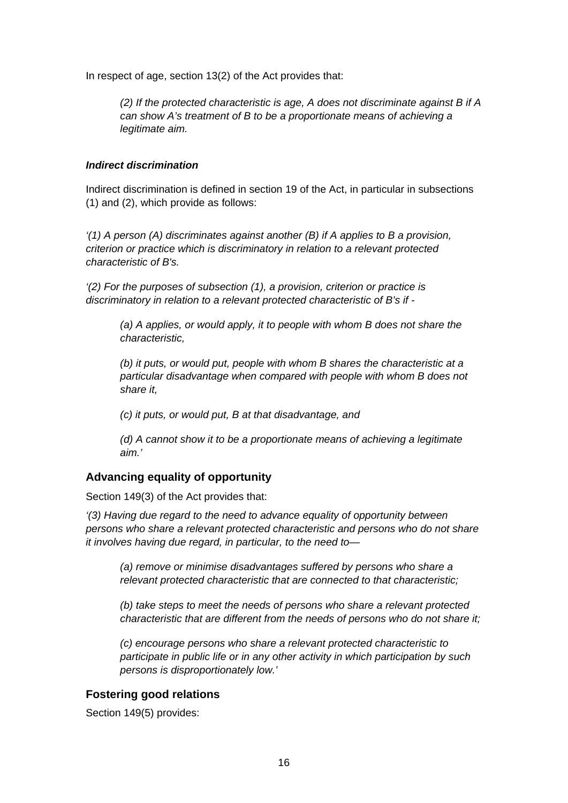In respect of age, section 13(2) of the Act provides that:

*(2) If the protected characteristic is age, A does not discriminate against B if A can show A's treatment of B to be a proportionate means of achieving a legitimate aim.* 

#### *Indirect discrimination*

Indirect discrimination is defined in section 19 of the Act, in particular in subsections (1) and (2), which provide as follows:

*'(1) A person (A) discriminates against another (B) if A applies to B a provision, criterion or practice which is discriminatory in relation to a relevant protected characteristic of B's.* 

*'(2) For the purposes of subsection (1), a provision, criterion or practice is discriminatory in relation to a relevant protected characteristic of B's if -* 

*(a) A applies, or would apply, it to people with whom B does not share the characteristic,* 

*(b) it puts, or would put, people with whom B shares the characteristic at a particular disadvantage when compared with people with whom B does not share it,* 

*(c) it puts, or would put, B at that disadvantage, and* 

*(d) A cannot show it to be a proportionate means of achieving a legitimate aim.'* 

### **Advancing equality of opportunity**

Section 149(3) of the Act provides that:

*'(3) Having due regard to the need to advance equality of opportunity between persons who share a relevant protected characteristic and persons who do not share it involves having due regard, in particular, to the need to—* 

*(a) remove or minimise disadvantages suffered by persons who share a relevant protected characteristic that are connected to that characteristic;* 

*(b) take steps to meet the needs of persons who share a relevant protected characteristic that are different from the needs of persons who do not share it;* 

*(c) encourage persons who share a relevant protected characteristic to participate in public life or in any other activity in which participation by such persons is disproportionately low.'* 

#### **Fostering good relations**

Section 149(5) provides: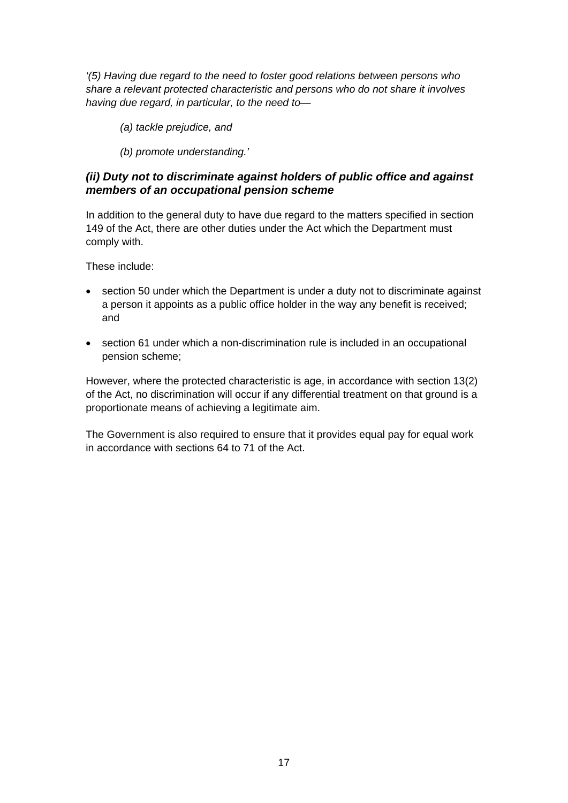*'(5) Having due regard to the need to foster good relations between persons who share a relevant protected characteristic and persons who do not share it involves having due regard, in particular, to the need to—* 

*(a) tackle prejudice, and* 

*(b) promote understanding.'* 

# *(ii) Duty not to discriminate against holders of public office and against members of an occupational pension scheme*

In addition to the general duty to have due regard to the matters specified in section 149 of the Act, there are other duties under the Act which the Department must comply with.

These include:

- section 50 under which the Department is under a duty not to discriminate against a person it appoints as a public office holder in the way any benefit is received; and
- section 61 under which a non-discrimination rule is included in an occupational pension scheme;

However, where the protected characteristic is age, in accordance with section 13(2) of the Act, no discrimination will occur if any differential treatment on that ground is a proportionate means of achieving a legitimate aim.

The Government is also required to ensure that it provides equal pay for equal work in accordance with sections 64 to 71 of the Act.